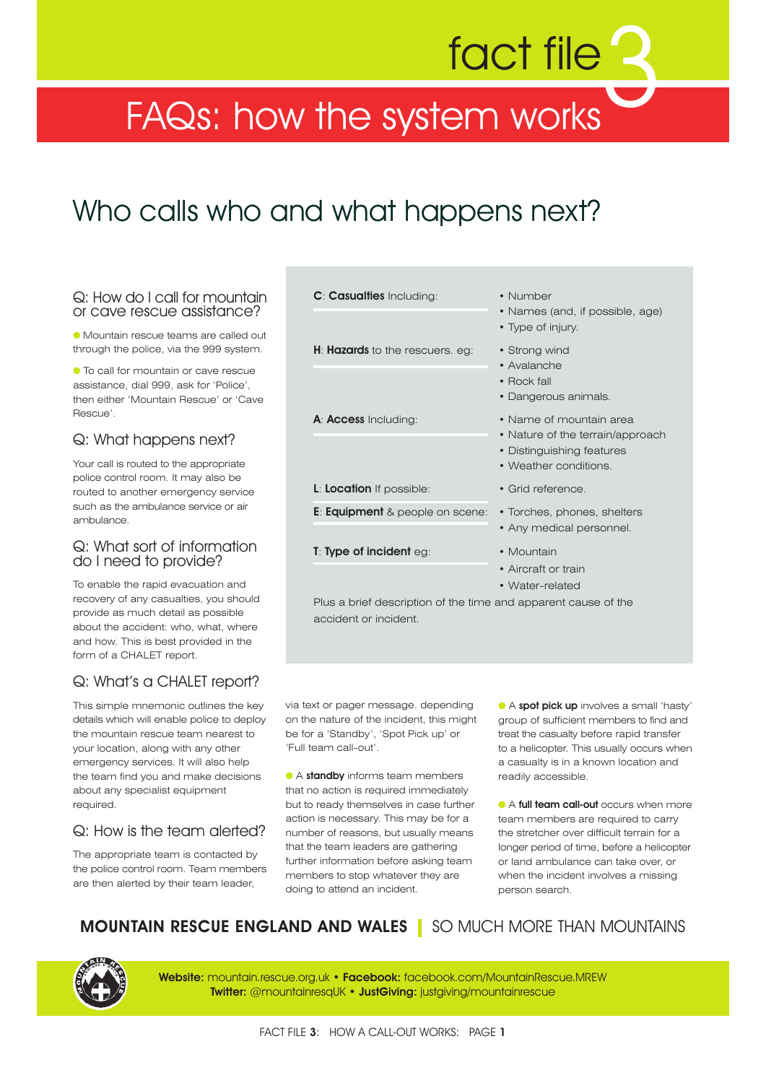# fact file

### FAQs: how the system works

### Who calls who and what happens next?

### Q: How do I call for mountain or cave rescue assistance?

● Mountain rescue teams are called out through the police, via the 999 system.

● To call for mountain or cave rescue assistance, dial 999, ask for 'Police', then either 'Mountain Rescue' or 'Cave Rescue'.

### Q: What happens next?

Your call is routed to the appropriate police control room. It may also be routed to another emergency service such as the ambulance service or air ambulance.

### Q: What sort of information do I need to provide?

To enable the rapid evacuation and recovery of any casualties, you should provide as much detail as possible about the accident: who, what, where and how. This is best provided in the form of a CHALET report.

### Q: What's a CHALET report?

This simple mnemonic outlines the key details which will enable police to deploy the mountain rescue team nearest to your location, along with any other emergency services. It will also help the team find you and make decisions about any specialist equipment required.

### Q: How is the team alerted?

The appropriate team is contacted by the police control room. Team members are then alerted by their team leader,

| <b>C: Casualties Including:</b>                                | • Number<br>• Names (and, if possible, age)<br>• Type of injury.                                                  |
|----------------------------------------------------------------|-------------------------------------------------------------------------------------------------------------------|
| H: Hazards to the rescuers. eg:                                | • Strong wind<br>• Avalanche<br>• Rock fall<br>• Dangerous animals.                                               |
| A: <b>Access</b> Including:                                    | • Name of mountain area<br>• Nature of the terrain/approach<br>• Distinguishing features<br>• Weather conditions. |
| <b>L:</b> Location If possible:                                | • Grid reference.                                                                                                 |
| <b>E:</b> Equipment & people on scene:                         | • Torches, phones, shelters<br>• Any medical personnel.                                                           |
| <b>T:</b> Type of incident $eg$ :                              | • Mountain<br>• Aircraft or train<br>• Water-related                                                              |
| Plus a brief description of the time and apparent cause of the |                                                                                                                   |

via text or pager message. depending on the nature of the incident, this might

be for a 'Standby', 'Spot Pick up' or

accident or incident.

● A **standby** informs team members that no action is required immediately but to ready themselves in case further action is necessary. This may be for a number of reasons, but usually means that the team leaders are gathering further information before asking team members to stop whatever they are

'Full team call-out'.

● A **spot pick up** involves a small 'hasty' group of sufficient members to find and treat the casualty before rapid transfer to a helicopter. This usually occurs when a casualty is in a known location and readily accessible.

● A **full team call-out** occurs when more team members are required to carry the stretcher over difficult terrain for a longer period of time, before a helicopter or land ambulance can take over, or when the incident involves a missing person search.

**MOUNTAIN RESCUE ENGLAND AND WALES** SO MUCH MORE THAN MOUNTAINS

doing to attend an incident.



**Website:** mountain.rescue.org.uk • **Facebook:** facebook.com/MountainRescue.MREW **Twitter:** @mountainresqUK • **JustGiving:** justgiving/mountainrescue